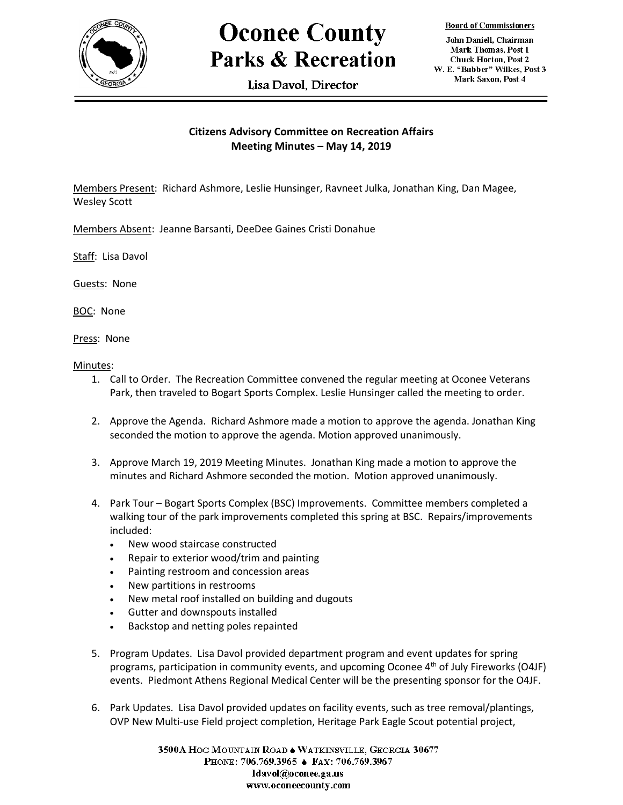

## **Oconee County Parks & Recreation**

Lisa Davol. Director

**Board of Commissioners** 

John Daniell, Chairman Mark Thomas, Post 1 **Chuck Horton, Post 2** W. E. "Bubber" Wilkes, Post 3 Mark Saxon, Post 4

## **Citizens Advisory Committee on Recreation Affairs Meeting Minutes – May 14, 2019**

Members Present: Richard Ashmore, Leslie Hunsinger, Ravneet Julka, Jonathan King, Dan Magee, Wesley Scott

Members Absent: Jeanne Barsanti, DeeDee Gaines Cristi Donahue

Staff: Lisa Davol

Guests: None

BOC: None

Press: None

Minutes:

- 1. Call to Order. The Recreation Committee convened the regular meeting at Oconee Veterans Park, then traveled to Bogart Sports Complex. Leslie Hunsinger called the meeting to order.
- 2. Approve the Agenda. Richard Ashmore made a motion to approve the agenda. Jonathan King seconded the motion to approve the agenda. Motion approved unanimously.
- 3. Approve March 19, 2019 Meeting Minutes. Jonathan King made a motion to approve the minutes and Richard Ashmore seconded the motion. Motion approved unanimously.
- 4. Park Tour Bogart Sports Complex (BSC) Improvements. Committee members completed a walking tour of the park improvements completed this spring at BSC. Repairs/improvements included:
	- New wood staircase constructed
	- Repair to exterior wood/trim and painting
	- Painting restroom and concession areas
	- New partitions in restrooms
	- New metal roof installed on building and dugouts
	- Gutter and downspouts installed
	- Backstop and netting poles repainted
- 5. Program Updates. Lisa Davol provided department program and event updates for spring programs, participation in community events, and upcoming Oconee  $4<sup>th</sup>$  of July Fireworks (O4JF) events. Piedmont Athens Regional Medical Center will be the presenting sponsor for the O4JF.
- 6. Park Updates. Lisa Davol provided updates on facility events, such as tree removal/plantings, OVP New Multi-use Field project completion, Heritage Park Eagle Scout potential project,

3500A HOG MOUNTAIN ROAD . WATKINSVILLE, GEORGIA 30677 PHONE: 706.769.3965 ♦ FAX: 706.769.3967 ldavol@oconee.ga.us www.oconeecounty.com